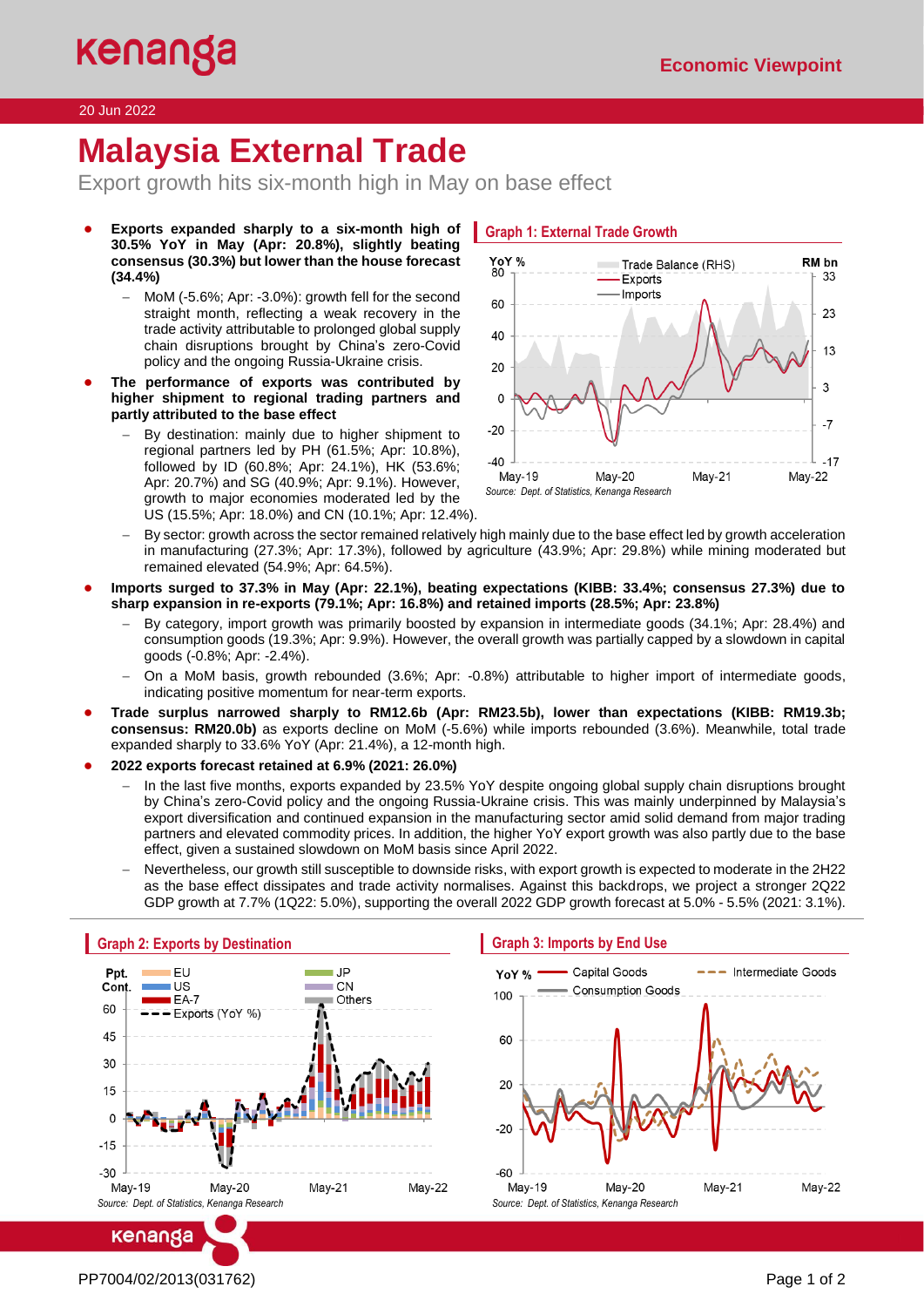# 20 Jun 2022

# **Malaysia External Trade**

Export growth hits six-month high in May on base effect

- Exports expanded sharply to a six-month high of **30.5% YoY in May (Apr: 20.8%), slightly beating consensus (30.3%) but lower than the house forecast (34.4%)**
	- − MoM (-5.6%; Apr: -3.0%): growth fell for the second straight month, reflecting a weak recovery in the trade activity attributable to prolonged global supply chain disruptions brought by China's zero-Covid policy and the ongoing Russia-Ukraine crisis.
- The performance of exports was contributed by **higher shipment to regional trading partners and partly attributed to the base effect**
	- By destination: mainly due to higher shipment to regional partners led by PH (61.5%; Apr: 10.8%), followed by ID (60.8%; Apr: 24.1%), HK (53.6%; Apr: 20.7%) and SG (40.9%; Apr: 9.1%). However, growth to major economies moderated led by the US (15.5%; Apr: 18.0%) and CN (10.1%; Apr: 12.4%).



- By sector: growth across the sector remained relatively high mainly due to the base effect led by growth acceleration in manufacturing (27.3%; Apr: 17.3%), followed by agriculture (43.9%; Apr: 29.8%) while mining moderated but remained elevated (54.9%; Apr: 64.5%).
- **Imports surged to 37.3% in May (Apr: 22.1%), beating expectations (KIBB: 33.4%; consensus 27.3%) due to sharp expansion in re-exports (79.1%; Apr: 16.8%) and retained imports (28.5%; Apr: 23.8%)**
	- − By category, import growth was primarily boosted by expansion in intermediate goods (34.1%; Apr: 28.4%) and consumption goods (19.3%; Apr: 9.9%). However, the overall growth was partially capped by a slowdown in capital goods (-0.8%; Apr: -2.4%).
	- − On a MoM basis, growth rebounded (3.6%; Apr: -0.8%) attributable to higher import of intermediate goods, indicating positive momentum for near-term exports.
- **Trade surplus narrowed sharply to RM12.6b (Apr: RM23.5b), lower than expectations (KIBB: RM19.3b; consensus: RM20.0b)** as exports decline on MoM (-5.6%) while imports rebounded (3.6%). Meanwhile, total trade expanded sharply to 33.6% YoY (Apr: 21.4%), a 12-month high.
- **2022 exports forecast retained at 6.9% (2021: 26.0%)** 
	- In the last five months, exports expanded by 23.5% YoY despite ongoing global supply chain disruptions brought by China's zero-Covid policy and the ongoing Russia-Ukraine crisis. This was mainly underpinned by Malaysia's export diversification and continued expansion in the manufacturing sector amid solid demand from major trading partners and elevated commodity prices. In addition, the higher YoY export growth was also partly due to the base effect, given a sustained slowdown on MoM basis since April 2022.
	- − Nevertheless, our growth still susceptible to downside risks, with export growth is expected to moderate in the 2H22 as the base effect dissipates and trade activity normalises. Against this backdrops, we project a stronger 2Q22 GDP growth at 7.7% (1Q22: 5.0%), supporting the overall 2022 GDP growth forecast at 5.0% - 5.5% (2021: 3.1%).



## **Graph 3: Imports by End Use**